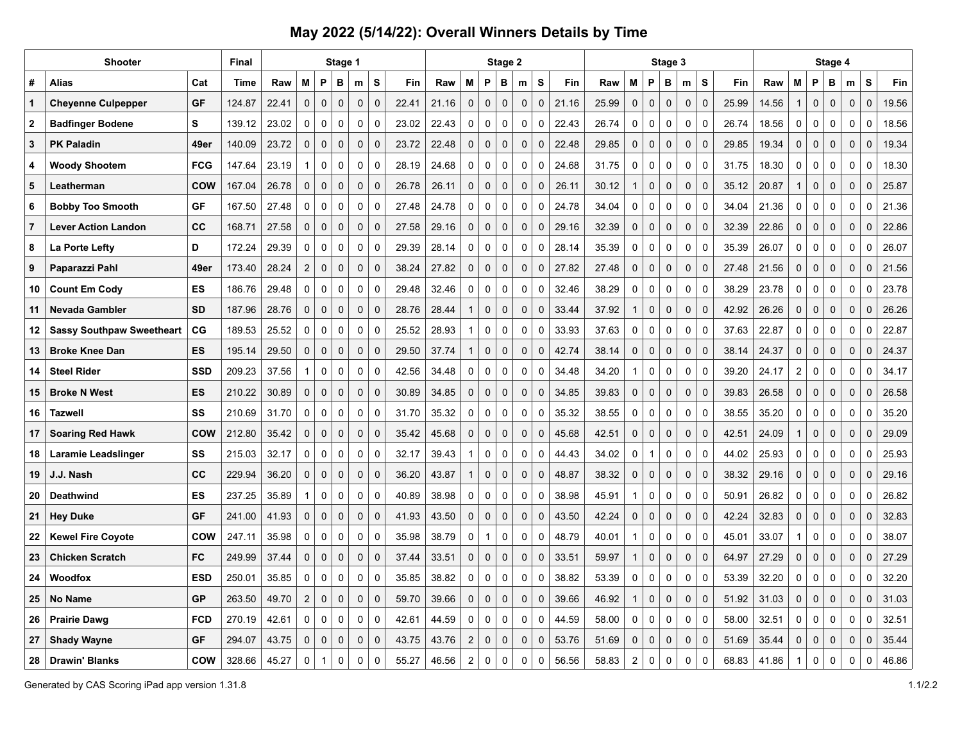|             | <b>Shooter</b>                   |             | <b>Final</b> |       |                  |             | Stage 1      |             |              |       |       |                  |                     | Stage 2     |             |   |                       |       |                |                | Stage 3     |              |             |       |       |                |             | Stage 4     |             |              |       |
|-------------|----------------------------------|-------------|--------------|-------|------------------|-------------|--------------|-------------|--------------|-------|-------|------------------|---------------------|-------------|-------------|---|-----------------------|-------|----------------|----------------|-------------|--------------|-------------|-------|-------|----------------|-------------|-------------|-------------|--------------|-------|
| #           | Alias                            | Cat         | Time         | Raw   | M                | P           | в            | m           | S            | Fin   | Raw   | м                | P                   | в           | m           | S | Fin                   | Raw   | М              | P              | в           | m            | s           | Fin   | Raw   | М              | P           | в           | m           | S            | Fin   |
| 1           | <b>Cheyenne Culpepper</b>        | <b>GF</b>   | 124.87       | 22.41 | $\mathbf 0$      | $\mathbf 0$ | $\pmb{0}$    | $\mathbf 0$ | $\pmb{0}$    | 22.41 | 21.16 | $\mathbf 0$      | $\mathbf 0$         | $\mathbf 0$ | $\pmb{0}$   |   | $\mathbf 0$<br>21.16  | 25.99 | 0              | $\mathbf 0$    | $\mathbf 0$ | 0            | $\mathbf 0$ | 25.99 | 14.56 | $\mathbf{1}$   | $\pmb{0}$   | $\mathbf 0$ | $\mathbf 0$ | $\mathbf 0$  | 19.56 |
| $\mathbf 2$ | <b>Badfinger Bodene</b>          | S           | 139.12       | 23.02 | 0                | $\mathbf 0$ | $\pmb{0}$    | $\mathbf 0$ | $\Omega$     | 23.02 | 22.43 | $\pmb{0}$        | $\mathbf 0$         | $\mathbf 0$ | 0           |   | $\mathbf 0$<br>22.43  | 26.74 | 0              | $\mathbf 0$    | $\mathbf 0$ | 0            | $\mathbf 0$ | 26.74 | 18.56 | 0              | $\pmb{0}$   | 0           | $\pmb{0}$   | $\pmb{0}$    | 18.56 |
| 3           | <b>PK Paladin</b>                | 49er        | 140.09       | 23.72 | $\mathbf 0$      | $\mathbf 0$ | $\pmb{0}$    | $\mathbf 0$ | $\Omega$     | 23.72 | 22.48 | $\mathbf 0$      | $\mathbf 0$         | $\mathbf 0$ | 0           |   | $\mathbf 0$<br>22.48  | 29.85 | 0              | $\mathbf 0$    | $\mathbf 0$ | 0            | $\mathbf 0$ | 29.85 | 19.34 | 0              | $\pmb{0}$   | $\mathbf 0$ | $\mathbf 0$ | $\mathsf 0$  | 19.34 |
| 4           | <b>Woody Shootem</b>             | <b>FCG</b>  | 147.64       | 23.19 | 1                | $\mathbf 0$ | $\mathbf 0$  | $\mathbf 0$ | $\mathbf 0$  | 28.19 | 24.68 | $\mathbf 0$      | $\mathbf 0$         | $\mathbf 0$ | 0           |   | $\mathbf 0$<br>24.68  | 31.75 | 0              | $\mathbf 0$    | $\mathbf 0$ | 0            | $\mathbf 0$ | 31.75 | 18.30 | 0              | $\pmb{0}$   | 0           | 0           | 0            | 18.30 |
| 5           | Leatherman                       | <b>COW</b>  | 167.04       | 26.78 | 0                | $\mathbf 0$ | $\pmb{0}$    | $\mathbf 0$ | $\pmb{0}$    | 26.78 | 26.11 | 0                | $\mathbf 0$         | $\mathbf 0$ | $\pmb{0}$   |   | $\mathbf 0$<br>26.11  | 30.12 | $\mathbf{1}$   | $\mathbf 0$    | $\mathbf 0$ | $\mathbf 0$  | $\mathbf 0$ | 35.12 | 20.87 | $\mathbf{1}$   | $\pmb{0}$   | $\mathbf 0$ | $\mathbf 0$ | $\mathbf 0$  | 25.87 |
| 6           | <b>Bobby Too Smooth</b>          | <b>GF</b>   | 167.50       | 27.48 | 0                | $\mathbf 0$ | $\mathbf 0$  | $\mathbf 0$ | $\mathbf 0$  | 27.48 | 24.78 | $\mathbf 0$      | $\mathbf 0$         | $\mathbf 0$ | 0           |   | $\mathbf 0$<br>24.78  | 34.04 | 0              | $\mathbf 0$    | $\mathbf 0$ | 0            | $\mathbf 0$ | 34.04 | 21.36 | $\mathbf 0$    | 0           | 0           | $\mathbf 0$ | 0            | 21.36 |
| 7           | <b>Lever Action Landon</b>       | cc          | 168.71       | 27.58 | $\Omega$         | $\mathbf 0$ | $\pmb{0}$    | $\mathbf 0$ | $\Omega$     | 27.58 | 29.16 | $\mathbf 0$      | $\mathbf 0$         | $\mathbf 0$ | 0           |   | $\mathbf 0$<br>29.16  | 32.39 | 0              | $\mathbf 0$    | $\mathbf 0$ | $\pmb{0}$    | $\Omega$    | 32.39 | 22.86 | 0              | $\pmb{0}$   | $\mathbf 0$ | $\pmb{0}$   | $\mathsf 0$  | 22.86 |
| 8           | La Porte Lefty                   | D           | 172.24       | 29.39 | 0                | 0           | $\mathbf 0$  | 0           | $\mathbf 0$  | 29.39 | 28.14 | 0                | 0                   | 0           | 0           |   | 0<br>28.14            | 35.39 | 0              | $\mathbf 0$    | 0           | 0            | $\mathbf 0$ | 35.39 | 26.07 | 0              | 0           | 0           | 0           | 0            | 26.07 |
| 9           | Paparazzi Pahl                   | 49er        | 173.40       | 28.24 | $\overline{2}$   | $\pmb{0}$   | $\mathbf{0}$ | $\mathbf 0$ | $\mathbf{0}$ | 38.24 | 27.82 | $\pmb{0}$        | $\mathbf 0$         | $\mathbf 0$ | 0           |   | $\mathbf 0$<br>27.82  | 27.48 | $\mathbf 0$    | $\mathbf 0$    | $\mathbf 0$ | $\mathbf 0$  | $\mathbf 0$ | 27.48 | 21.56 | $\mathbf 0$    | $\pmb{0}$   | $\mathbf 0$ | $\mathbf 0$ | $\mathbf{0}$ | 21.56 |
| 10          | <b>Count Em Cody</b>             | ES          | 186.76       | 29.48 | 0                | 0           | $\mathbf 0$  | 0           | $\mathbf 0$  | 29.48 | 32.46 | 0                | 0                   | 0           | 0           |   | 0<br>32.46            | 38.29 | 0              | 0              | 0           | 0            | $\mathbf 0$ | 38.29 | 23.78 | 0              | 0           | 0           | 0           | 0            | 23.78 |
| 11          | <b>Nevada Gambler</b>            | <b>SD</b>   | 187.96       | 28.76 | $\mathbf 0$      | $\mathbf 0$ | $\mathbf 0$  | $\mathbf 0$ | $\mathbf 0$  | 28.76 | 28.44 | $\mathbf{1}$     | $\mathbf 0$         | $\mathbf 0$ | 0           |   | $\mathbf 0$<br>33.44  | 37.92 | $\mathbf{1}$   | $\mathbf 0$    | $\mathbf 0$ | $\mathbf 0$  | $\Omega$    | 42.92 | 26.26 | $\mathbf 0$    | $\pmb{0}$   | $\mathbf 0$ | $\mathbf 0$ | $\mathbf 0$  | 26.26 |
| 12          | <b>Sassy Southpaw Sweetheart</b> | $_{\rm CG}$ | 189.53       | 25.52 | 0                | 0           | 0            | 0           | $\mathbf 0$  | 25.52 | 28.93 | $\mathbf{1}$     | 0                   | 0           | 0           |   | 0<br>33.93            | 37.63 | 0              | 0              | 0           | 0            | $\mathbf 0$ | 37.63 | 22.87 | 0              | 0           | 0           | 0           | 0            | 22.87 |
| 13          | <b>Broke Knee Dan</b>            | <b>ES</b>   | 195.14       | 29.50 | $\mathbf 0$      | $\mathbf 0$ | $\mathbf 0$  | $\mathbf 0$ | $\mathbf 0$  | 29.50 | 37.74 | $\overline{1}$   | $\mathbf 0$         | $\mathbf 0$ | 0           |   | $\mathbf 0$<br>42.74  | 38.14 | 0              | $\mathbf 0$    | $\mathbf 0$ | $\mathbf{0}$ | $\mathbf 0$ | 38.14 | 24.37 | 0              | $\mathbf 0$ | $\mathbf 0$ | $\mathbf 0$ | $\mathbf 0$  | 24.37 |
| 14          | <b>Steel Rider</b>               | <b>SSD</b>  | 209.23       | 37.56 | 1                | $\mathbf 0$ | $\pmb{0}$    | $\mathbf 0$ | $\Omega$     | 42.56 | 34.48 | $\mathbf 0$      | $\mathbf 0$         | $\mathbf 0$ |             | 0 | $\mathbf 0$<br>34.48  | 34.20 | $\mathbf{1}$   | 0              | $\mathbf 0$ | 0            | $\Omega$    | 39.20 | 24.17 | $\overline{2}$ | $\pmb{0}$   | 0           | $\pmb{0}$   | $\pmb{0}$    | 34.17 |
| 15          | <b>Broke N West</b>              | ES          | 210.22       | 30.89 | $\mathbf 0$      | $\mathbf 0$ | $\mathbf 0$  | $\mathbf 0$ | $\mathbf{0}$ | 30.89 | 34.85 | $\mathbf 0$      | $\mathbf 0$         | $\mathbf 0$ | 0           |   | $\mathbf{0}$<br>34.85 | 39.83 | 0              | $\mathbf 0$    | $\mathbf 0$ | $\mathbf 0$  | $\mathbf 0$ | 39.83 | 26.58 | 0              | 0           | $\mathbf 0$ | $\mathbf 0$ | 0            | 26.58 |
| 16          | <b>Tazwell</b>                   | SS          | 210.69       | 31.70 | $\mathbf 0$      | $\mathbf 0$ | $\mathbf 0$  | $\mathbf 0$ | $\mathbf 0$  | 31.70 | 35.32 | 0                | 0                   | $\mathbf 0$ | 0           |   | 0<br>35.32            | 38.55 | 0              | $\mathbf 0$    | $\mathbf 0$ | 0            | $\mathbf 0$ | 38.55 | 35.20 | 0              | $\mathbf 0$ | $\mathbf 0$ | 0           | $\mathbf 0$  | 35.20 |
| 17          | <b>Soaring Red Hawk</b>          | <b>COW</b>  | 212.80       | 35.42 | $\mathbf 0$      | $\mathbf 0$ | $\pmb{0}$    | $\mathbf 0$ | $\mathbf 0$  | 35.42 | 45.68 | $\mathbf 0$      | $\mathbf 0$         | $\mathbf 0$ | 0           |   | $\mathbf 0$<br>45.68  | 42.51 | 0              | $\mathbf 0$    | $\mathbf 0$ | 0            | $\mathbf 0$ | 42.51 | 24.09 | $\mathbf{1}$   | $\mathbf 0$ | $\mathbf 0$ | $\mathbf 0$ | $\mathbf 0$  | 29.09 |
| 18          | Laramie Leadslinger              | SS          | 215.03       | 32.17 | $\mathbf 0$      | $\mathbf 0$ | $\mathbf 0$  | $\mathbf 0$ | $\mathbf 0$  | 32.17 | 39.43 | $\overline{1}$   | $\mathbf 0$         | $\mathbf 0$ | 0           |   | $\mathbf 0$<br>44.43  | 34.02 | $\mathbf 0$    | $\overline{1}$ | $\mathbf 0$ | 0            | $\mathbf 0$ | 44.02 | 25.93 | 0              | $\mathbf 0$ | $\mathbf 0$ | 0           | $\mathbf 0$  | 25.93 |
| 19          | J.J. Nash                        | cc          | 229.94       | 36.20 | $\mathbf 0$      | $\pmb{0}$   | $\mathbf 0$  | $\mathbf 0$ | $\Omega$     | 36.20 | 43.87 | $\mathbf{1}$     | $\mathsf{O}\xspace$ | $\mathbf 0$ | 0           |   | $\mathbf 0$<br>48.87  | 38.32 | 0              | $\mathbf 0$    | $\mathbf 0$ | 0            | $\mathbf 0$ | 38.32 | 29.16 | 0              | $\pmb{0}$   | $\mathsf 0$ | $\mathbf 0$ | $\mathsf 0$  | 29.16 |
| 20          | <b>Deathwind</b>                 | ES          | 237.25       | 35.89 | 1                | 0           | $\mathbf 0$  | 0           | $\mathbf 0$  | 40.89 | 38.98 | 0                | 0                   | 0           | 0           |   | 0<br>38.98            | 45.91 | $\mathbf{1}$   | $\mathbf 0$    | 0           | 0            | $\mathbf 0$ | 50.91 | 26.82 | 0              | 0           | 0           | $\mathbf 0$ | 0            | 26.82 |
| 21          | <b>Hey Duke</b>                  | <b>GF</b>   | 241.00       | 41.93 | $\Omega$         | $\mathbf 0$ | $\pmb{0}$    | $\mathbf 0$ | $\pmb{0}$    | 41.93 | 43.50 | $\mathbf 0$      | $\mathbf 0$         | $\mathbf 0$ | 0           |   | $\mathbf 0$<br>43.50  | 42.24 | 0              | $\mathbf 0$    | $\mathbf 0$ | 0            | $\mathbf 0$ | 42.24 | 32.83 | 0              | $\pmb{0}$   | $\mathbf 0$ | $\pmb{0}$   | 0            | 32.83 |
| 22          | <b>Kewel Fire Coyote</b>         | <b>COW</b>  | 247.11       | 35.98 | $\mathbf 0$      | 0           | $\mathbf 0$  | 0           | $\mathbf 0$  | 35.98 | 38.79 | 0                | $\mathbf{1}$        | 0           | 0           |   | 0<br>48.79            | 40.01 | $\mathbf{1}$   | 0              | 0           | 0            | $\mathbf 0$ | 45.01 | 33.07 | $\mathbf{1}$   | 0           | 0           | 0           | 0            | 38.07 |
| 23          | <b>Chicken Scratch</b>           | <b>FC</b>   | 249.99       | 37.44 | $\Omega$         | $\mathbf 0$ | $\mathbf 0$  | $\mathbf 0$ | $\mathbf 0$  | 37.44 | 33.51 | $\mathbf 0$      | $\mathbf 0$         | $\mathbf 0$ | $\mathbf 0$ |   | $\mathbf 0$<br>33.51  | 59.97 | $\mathbf{1}$   | $\mathbf 0$    | $\mathbf 0$ | $\mathbf 0$  | $\Omega$    | 64.97 | 27.29 | 0              | $\mathbf 0$ | $\mathbf 0$ | $\mathbf 0$ | $\mathbf 0$  | 27.29 |
| 24          | Woodfox                          | <b>ESD</b>  | 250.01       | 35.85 | 0                | 0           | $\mathbf 0$  | 0           | $\mathbf 0$  | 35.85 | 38.82 | 0                | 0                   | 0           | 0           |   | 0<br>38.82            | 53.39 | 0              | 0              | 0           | 0            | 0           | 53.39 | 32.20 | 0              | 0           | 0           | 0           | 0            | 32.20 |
| 25          | <b>No Name</b>                   | <b>GP</b>   | 263.50       | 49.70 | $\boldsymbol{2}$ | $\mathbf 0$ | $\mathbf 0$  | $\mathbf 0$ | $\mathbf 0$  | 59.70 | 39.66 | $\mathbf 0$      | $\mathbf 0$         | $\mathbf 0$ | 0           |   | $\mathbf 0$<br>39.66  | 46.92 | $\mathbf{1}$   | $\mathbf 0$    | $\mathbf 0$ | $\mathbf 0$  | $\mathbf 0$ | 51.92 | 31.03 | 0              | $\mathbf 0$ | $\mathbf 0$ | $\mathbf 0$ | $\mathbf 0$  | 31.03 |
| 26          | <b>Prairie Dawg</b>              | <b>FCD</b>  | 270.19       | 42.61 | 0                | 0           | $\mathbf 0$  | 0           | $\mathbf 0$  | 42.61 | 44.59 | 0                | 0                   | 0           | 0           |   | 0<br>44.59            | 58.00 | 0              | 0              | 0           | 0            | 0           | 58.00 | 32.51 | 0              | 0           | 0           | 0           | 0            | 32.51 |
| 27          | <b>Shady Wayne</b>               | <b>GF</b>   | 294.07       | 43.75 | $\Omega$         | $\mathbf 0$ | $\mathbf 0$  | $\mathbf 0$ | $\mathbf 0$  | 43.75 | 43.76 | $\overline{2}$   | $\mathbf 0$         | $\mathbf 0$ | 0           |   | $\mathbf{0}$<br>53.76 | 51.69 | $\mathbf 0$    | $\mathbf 0$    | $\mathbf 0$ | $\mathbf 0$  | $\mathbf 0$ | 51.69 | 35.44 | $\mathbf 0$    | $\mathbf 0$ | $\mathbf 0$ | $\mathbf 0$ | $\mathbf 0$  | 35.44 |
| 28          | <b>Drawin' Blanks</b>            | <b>COW</b>  | 328.66       | 45.27 | $\Omega$         |             | $\Omega$     | $\Omega$    | $\Omega$     | 55.27 | 46.56 | $\boldsymbol{2}$ | 0                   | $\Omega$    | 0           |   | $\mathbf 0$<br>56.56  | 58.83 | $\overline{2}$ | $\mathbf 0$    | $\Omega$    | $\Omega$     | $\Omega$    | 68.83 | 41.86 | 1              | 0           | $\Omega$    | $\Omega$    | 0            | 46.86 |

Generated by CAS Scoring iPad app version 1.31.8 1.1/2.2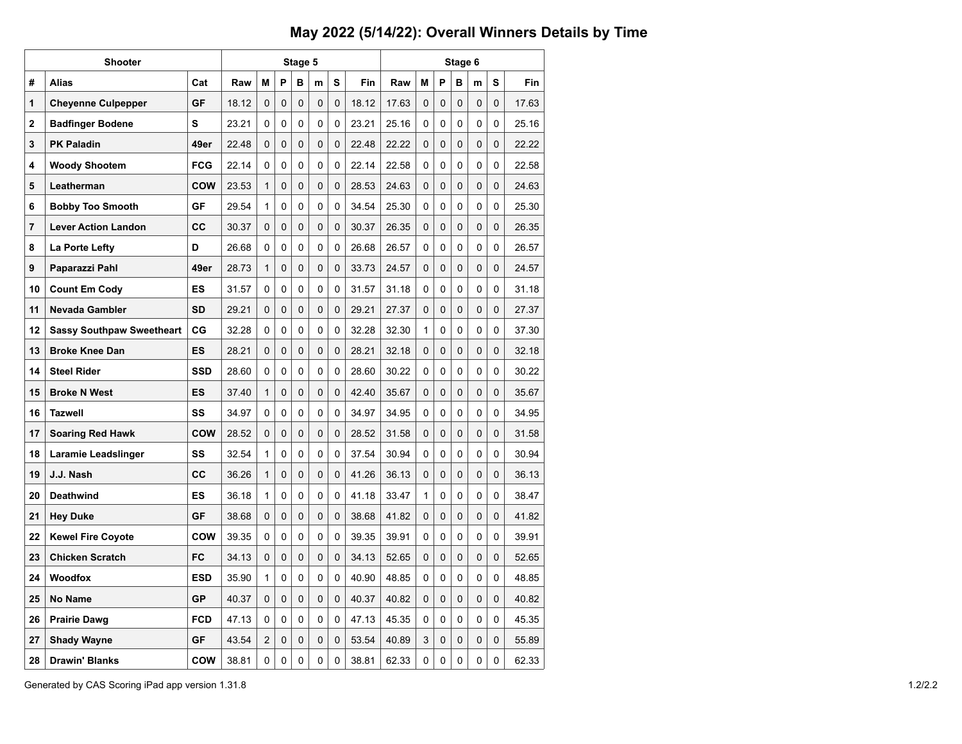|              | <b>Shooter</b>                   |            |       |                | Stage 5 |   |   |          | Stage 6 |       |   |   |   |   |          |       |  |  |  |
|--------------|----------------------------------|------------|-------|----------------|---------|---|---|----------|---------|-------|---|---|---|---|----------|-------|--|--|--|
| #            | <b>Alias</b>                     | Cat        | Raw   | M              | P       | в | m | S        | Fin     | Raw   | M | P | в | m | S        | Fin   |  |  |  |
| 1            | <b>Cheyenne Culpepper</b>        | <b>GF</b>  | 18.12 | 0              | 0       | 0 | 0 | 0        | 18.12   | 17.63 | 0 | 0 | 0 | 0 | 0        | 17.63 |  |  |  |
| $\mathbf{2}$ | <b>Badfinger Bodene</b>          | S          | 23.21 | 0              | 0       | 0 | 0 | 0        | 23.21   | 25.16 | 0 | 0 | 0 | 0 | 0        | 25.16 |  |  |  |
| 3            | <b>PK Paladin</b>                | 49er       | 22.48 | 0              | 0       | 0 | 0 | 0        | 22.48   | 22.22 | 0 | 0 | 0 | 0 | 0        | 22.22 |  |  |  |
| 4            | <b>Woody Shootem</b>             | <b>FCG</b> | 22.14 | 0              | 0       | 0 | 0 | 0        | 22.14   | 22.58 | 0 | 0 | 0 | 0 | 0        | 22.58 |  |  |  |
| 5            | Leatherman                       | <b>COW</b> | 23.53 | $\mathbf{1}$   | 0       | 0 | 0 | 0        | 28.53   | 24.63 | 0 | 0 | 0 | 0 | 0        | 24.63 |  |  |  |
| 6            | <b>Bobby Too Smooth</b>          | GF         | 29.54 | $\mathbf{1}$   | 0       | 0 | 0 | 0        | 34.54   | 25.30 | 0 | 0 | 0 | 0 | 0        | 25.30 |  |  |  |
| 7            | <b>Lever Action Landon</b>       | CC         | 30.37 | 0              | 0       | 0 | 0 | 0        | 30.37   | 26.35 | 0 | 0 | 0 | 0 | 0        | 26.35 |  |  |  |
| 8            | La Porte Lefty                   | D          | 26.68 | 0              | 0       | 0 | 0 | 0        | 26.68   | 26.57 | 0 | 0 | 0 | 0 | 0        | 26.57 |  |  |  |
| 9            | Paparazzi Pahl                   | 49er       | 28.73 | 1              | 0       | 0 | 0 | 0        | 33.73   | 24.57 | 0 | 0 | 0 | 0 | 0        | 24.57 |  |  |  |
| 10           | <b>Count Em Cody</b>             | ES         | 31.57 | 0              | 0       | 0 | 0 | 0        | 31.57   | 31.18 | 0 | 0 | 0 | 0 | 0        | 31.18 |  |  |  |
| 11           | Nevada Gambler                   | <b>SD</b>  | 29.21 | 0              | 0       | 0 | 0 | 0        | 29.21   | 27.37 | 0 | 0 | 0 | 0 | 0        | 27.37 |  |  |  |
| 12           | <b>Sassy Southpaw Sweetheart</b> | CG         | 32.28 | 0              | 0       | 0 | 0 | 0        | 32.28   | 32.30 | 1 | 0 | 0 | 0 | 0        | 37.30 |  |  |  |
| 13           | <b>Broke Knee Dan</b>            | <b>ES</b>  | 28.21 | 0              | 0       | 0 | 0 | 0        | 28.21   | 32.18 | 0 | 0 | 0 | 0 | 0        | 32.18 |  |  |  |
| 14           | <b>Steel Rider</b>               | <b>SSD</b> | 28.60 | 0              | 0       | 0 | 0 | 0        | 28.60   | 30.22 | 0 | 0 | 0 | 0 | 0        | 30.22 |  |  |  |
| 15           | <b>Broke N West</b>              | <b>ES</b>  | 37.40 | 1              | 0       | 0 | 0 | 0        | 42.40   | 35.67 | 0 | 0 | 0 | 0 | 0        | 35.67 |  |  |  |
| 16           | Tazwell                          | SS         | 34.97 | 0              | 0       | 0 | 0 | 0        | 34.97   | 34.95 | 0 | 0 | 0 | 0 | 0        | 34.95 |  |  |  |
| 17           | <b>Soaring Red Hawk</b>          | <b>COW</b> | 28.52 | 0              | 0       | 0 | 0 | 0        | 28.52   | 31.58 | 0 | 0 | 0 | 0 | 0        | 31.58 |  |  |  |
| 18           | Laramie Leadslinger              | SS         | 32.54 | $\mathbf{1}$   | 0       | 0 | 0 | 0        | 37.54   | 30.94 | 0 | 0 | 0 | 0 | 0        | 30.94 |  |  |  |
| 19           | J.J. Nash                        | СC         | 36.26 | 1              | 0       | 0 | 0 | 0        | 41.26   | 36.13 | 0 | 0 | 0 | 0 | 0        | 36.13 |  |  |  |
| 20           | <b>Deathwind</b>                 | ES         | 36.18 | $\mathbf{1}$   | 0       | 0 | 0 | 0        | 41.18   | 33.47 | 1 | 0 | 0 | 0 | 0        | 38.47 |  |  |  |
| 21           | <b>Hey Duke</b>                  | <b>GF</b>  | 38.68 | 0              | 0       | 0 | 0 | 0        | 38.68   | 41.82 | 0 | 0 | 0 | 0 | 0        | 41.82 |  |  |  |
| 22           | <b>Kewel Fire Coyote</b>         | <b>COW</b> | 39.35 | 0              | 0       | 0 | 0 | 0        | 39.35   | 39.91 | 0 | 0 | 0 | 0 | 0        | 39.91 |  |  |  |
| 23           | <b>Chicken Scratch</b>           | <b>FC</b>  | 34.13 | 0              | 0       | 0 | 0 | 0        | 34.13   | 52.65 | 0 | 0 | 0 | 0 | 0        | 52.65 |  |  |  |
| 24           | <b>Woodfox</b>                   | <b>ESD</b> | 35.90 | 1              | 0       | 0 | 0 | 0        | 40.90   | 48.85 | 0 | 0 | 0 | 0 | 0        | 48.85 |  |  |  |
| 25           | No Name                          | <b>GP</b>  | 40.37 | 0              | 0       | 0 | 0 | 0        | 40.37   | 40.82 | 0 | 0 | 0 | 0 | 0        | 40.82 |  |  |  |
| 26           | <b>Prairie Dawg</b>              | <b>FCD</b> | 47.13 | 0              | 0       | 0 | 0 | 0        | 47.13   | 45.35 | 0 | 0 | 0 | 0 | 0        | 45.35 |  |  |  |
| 27           | <b>Shady Wayne</b>               | <b>GF</b>  | 43.54 | $\overline{2}$ | 0       | 0 | 0 | $\Omega$ | 53.54   | 40.89 | 3 | 0 | 0 | 0 | $\Omega$ | 55.89 |  |  |  |
| 28           | <b>Drawin' Blanks</b>            | <b>COW</b> | 38.81 | 0              | 0       | 0 | 0 | 0        | 38.81   | 62.33 | 0 | 0 | 0 | 0 | 0        | 62.33 |  |  |  |

Generated by CAS Scoring iPad app version 1.31.8 1.2/2.2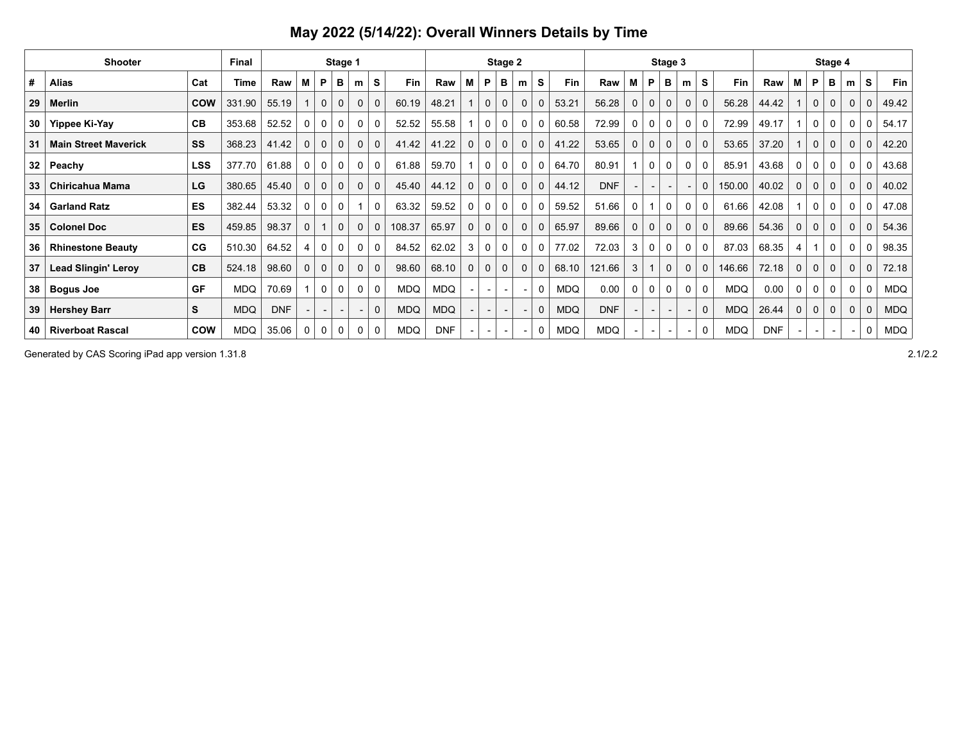|                 | <b>Shooter</b>              |            | Final      | Stage 1    |          |              |              |              |              |            |            |             |                          | Stage 2      |                          |             |            |            |             | Stage 4                  |              |                          |              |            |            |             |             |              |             |              |            |
|-----------------|-----------------------------|------------|------------|------------|----------|--------------|--------------|--------------|--------------|------------|------------|-------------|--------------------------|--------------|--------------------------|-------------|------------|------------|-------------|--------------------------|--------------|--------------------------|--------------|------------|------------|-------------|-------------|--------------|-------------|--------------|------------|
| #               | <b>Alias</b>                | Cat        | Time       | Raw        | м        | P            | в            | m            | S            | Fin        | Raw        | M           | P                        | в            | m                        | s           | Fin        | Raw        | М           | P                        | в            | m                        | s            | Fin        | Raw        | М           | <b>P</b>    | в            | m           | s            | <b>Fin</b> |
| 29              | Merlin                      | <b>COW</b> | 331.90     | 55.19      |          | $\mathbf 0$  | $\mathbf 0$  | $\mathbf 0$  |              | 60.19      | 48.21      |             | $\mathbf 0$              | $\mathbf{0}$ | $\Omega$                 | $\mathbf 0$ | 53.21      | 56.28      | $\mathbf 0$ | $\Omega$                 |              | $\mathbf{0}$             |              | 56.28      | 44.42      |             | $\mathbf 0$ | $\Omega$     | 0           | $\mathbf 0$  | 49.42      |
| 30              | Yippee Ki-Yay               | CB         | 353.68     | 52.52      | 0        | 0            | 0            | 0            | 0            | 52.52      | 55.58      |             | 0                        | 0            | 0                        | 0           | 60.58      | 72.99      | 0           | 0                        | 0            | 0                        | $\mathbf{0}$ | 72.99      | 49.17      |             |             | 0            | C           | 0            | 54.17      |
| 31              | <b>Main Street Maverick</b> | SS         | 368.23     | 41.42      | $\Omega$ | $\mathbf 0$  | $\mathbf{0}$ | $\mathbf 0$  | $\mathbf 0$  | 41.42      | 41.22      | $\Omega$    | $\mathbf 0$              | $\mathbf 0$  | $\mathbf 0$              | $\mathbf 0$ | 41.22      | 53.65      | $\mathbf 0$ | 0                        | $\mathbf 0$  | $\mathbf{0}$             | $\mathbf{0}$ | 53.65      | 37.20      |             | $\mathbf 0$ | $\Omega$     | $\mathbf 0$ | $\mathbf 0$  | 42.20      |
| 32 <sub>1</sub> | Peachy                      | <b>LSS</b> | 377.70     | 61.88      | $\Omega$ | 0            | 0            | 0            | 0            | 61.88      | 59.70      |             | 0                        | 0            | 0                        | 0           | 64.70      | 80.91      |             | $\Omega$                 |              | 0                        | $\mathbf{0}$ | 85.91      | 43.68      | 0           | 0           | 0            | 0           | 0            | 43.68      |
| 33              | <b>Chiricahua Mama</b>      | LG         | 380.65     | 45.40      | 0        | $\mathbf{0}$ | 0            | $\mathbf{0}$ | $\mathbf 0$  | 45.40      | 44.12      | 0           | 0                        | 0            | $\mathbf 0$              | 0           | 44.12      | <b>DNF</b> |             |                          |              |                          | 0            | 150.00     | 40.02      | 0           | 0           | $\mathbf{0}$ | 0           | 0            | 40.02      |
| 34              | <b>Garland Ratz</b>         | ES         | 382.44     | 53.32      | 0        | 0            | 0            |              | $\Omega$     | 63.32      | 59.52      | 0           | 0                        | 0            | $\Omega$                 | 0           | 59.52      | 51.66      | 0           |                          | 0            | 0                        |              | 61.66      | 42.08      |             | $\Omega$    | $\mathbf{0}$ | 0           |              | 47.08      |
|                 | 35   Colonel Doc            | <b>ES</b>  | 459.85     | 98.37      | $\Omega$ |              | $\mathbf 0$  | $\mathbf 0$  | $\mathbf{0}$ | 108.37     | 65.97      | $\mathbf 0$ | 0                        | 0            | $\mathbf 0$              | 0           | 65.97      | 89.66      | 0           | 0                        | $\mathbf{0}$ | $\mathbf{0}$             | $\mathbf{0}$ | 89.66      | 54.36      | $\mathbf 0$ | 0           | $\mathbf{0}$ | $\mathbf 0$ | $\mathbf 0$  | 54.36      |
| 36 <sup>2</sup> | <b>Rhinestone Beauty</b>    | CG         | 510.30     | 64.52      | 4        | $\mathbf 0$  | 0            | $\mathbf 0$  | 0            | 84.52      | 62.02      | 3           | 0                        | 0            | 0                        | 0           | 77.02      | 72.03      | 3           | 0                        | 0            | 0                        | $\mathbf{0}$ | 87.03      | 68.35      | 4           |             | 0            | 0           | 0            | 98.35      |
| 37              | <b>Lead Slingin' Leroy</b>  | CB         | 524.18     | 98.60      | $\Omega$ | $\Omega$     | $\mathbf 0$  | $\mathbf 0$  | $\mathbf 0$  | 98.60      | 68.10      | 0           | $\mathbf 0$              | $\Omega$     | $\mathbf 0$              | $\mathbf 0$ | 68.10      | 121.66     | 3           |                          | $\mathbf 0$  | $\mathbf{0}$             |              | 146.66     | 72.18      | $\mathbf 0$ | $\Omega$    | $\mathbf{0}$ | $\Omega$    | $\mathbf{0}$ | 72.18      |
| 38 <sup>2</sup> | <b>Bogus Joe</b>            | <b>GF</b>  | MDQ.       | 70.69      |          | $\mathbf 0$  | $\mathbf 0$  | $\mathbf{0}$ | $\mathbf{0}$ | <b>MDQ</b> | <b>MDQ</b> |             | $\overline{\phantom{0}}$ |              | $\overline{\phantom{a}}$ | $\Omega$    | <b>MDQ</b> | 0.00       | $\mathbf 0$ | 0                        | 0            | 0                        | $\mathbf{0}$ | <b>MDQ</b> | 0.00       | $\mathbf 0$ | 0           | 0            | 0           | $\mathbf 0$  | <b>MDQ</b> |
| 39              | <b>Hershey Barr</b>         | S          | <b>MDQ</b> | <b>DNF</b> |          |              |              |              | $\Omega$     | <b>MDQ</b> | <b>MDQ</b> |             |                          |              |                          | $\mathbf 0$ | <b>MDQ</b> | <b>DNF</b> |             |                          |              |                          | $\mathbf 0$  | <b>MDQ</b> | 26.44      | 0           | 0           | $\mathbf{0}$ | 0           | $\mathbf 0$  | <b>MDQ</b> |
| 40              | <b>Riverboat Rascal</b>     | <b>COW</b> | <b>MDQ</b> | 35.06      | 0        | 0            | 0            | 0            |              | MDQ.       | <b>DNF</b> |             | $\overline{\phantom{0}}$ |              |                          | 0           | <b>MDQ</b> | <b>MDQ</b> |             | $\overline{\phantom{a}}$ |              | $\overline{\phantom{a}}$ | 0            | <b>MDQ</b> | <b>DNF</b> |             |             |              |             | 0            | MDQ        |

Generated by CAS Scoring iPad app version 1.31.8 2.1/2.2